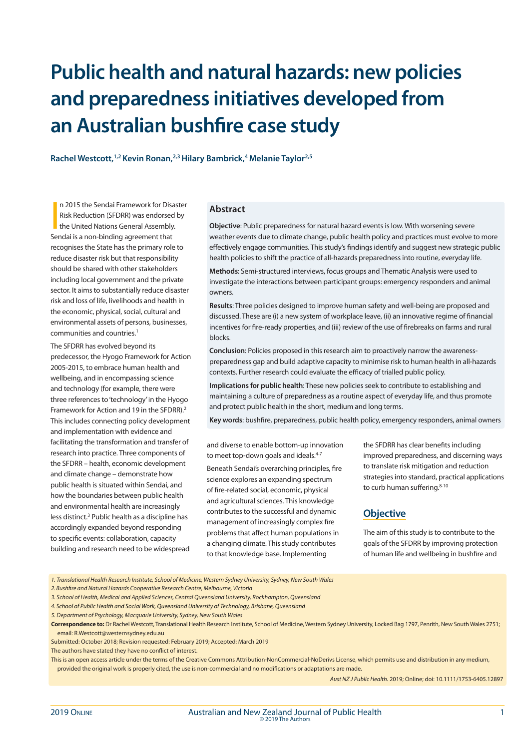# **Public health and natural hazards: new policies and preparedness initiatives developed from an Australian bushfire case study**

Rachel Westcott,<sup>1,2</sup> Kevin Ronan,<sup>2,3</sup> Hilary Bambrick,<sup>4</sup> Melanie Taylor<sup>2,5</sup>

In 2015 the Sendai Framework for Disa<br>Risk Reduction (SFDRR) was endorsed<br>the United Nations General Assembly<br>Sendai is a non-binding agreement that n 2015 the Sendai Framework for Disaster Risk Reduction (SFDRR) was endorsed by the United Nations General Assembly. recognises the State has the primary role to reduce disaster risk but that responsibility should be shared with other stakeholders including local government and the private sector. It aims to substantially reduce disaster risk and loss of life, livelihoods and health in the economic, physical, social, cultural and environmental assets of persons, businesses, communities and countries.1

The SFDRR has evolved beyond its predecessor, the Hyogo Framework for Action 2005-2015, to embrace human health and wellbeing, and in encompassing science and technology (for example, there were three references to 'technology' in the Hyogo Framework for Action and 19 in the SFDRR).<sup>2</sup> This includes connecting policy development and implementation with evidence and facilitating the transformation and transfer of research into practice. Three components of the SFDRR – health, economic development and climate change – demonstrate how public health is situated within Sendai, and how the boundaries between public health and environmental health are increasingly less distinct.<sup>3</sup> Public health as a discipline has accordingly expanded beyond responding to specific events: collaboration, capacity building and research need to be widespread

#### **Abstract**

**Objective**: Public preparedness for natural hazard events is low. With worsening severe weather events due to climate change, public health policy and practices must evolve to more effectively engage communities. This study's findings identify and suggest new strategic public health policies to shift the practice of all-hazards preparedness into routine, everyday life.

**Methods**: Semi-structured interviews, focus groups and Thematic Analysis were used to investigate the interactions between participant groups: emergency responders and animal owners.

**Results**: Three policies designed to improve human safety and well-being are proposed and discussed. These are (i) a new system of workplace leave, (ii) an innovative regime of financial incentives for fire-ready properties, and (iii) review of the use of firebreaks on farms and rural blocks.

**Conclusion**: Policies proposed in this research aim to proactively narrow the awarenesspreparedness gap and build adaptive capacity to minimise risk to human health in all-hazards contexts. Further research could evaluate the efficacy of trialled public policy.

**Implications for public health**: These new policies seek to contribute to establishing and maintaining a culture of preparedness as a routine aspect of everyday life, and thus promote and protect public health in the short, medium and long terms.

**Key words**: bushfire, preparedness, public health policy, emergency responders, animal owners

and diverse to enable bottom-up innovation to meet top-down goals and ideals.<sup>4-7</sup>

Beneath Sendai's overarching principles, fire science explores an expanding spectrum of fire-related social, economic, physical and agricultural sciences. This knowledge contributes to the successful and dynamic management of increasingly complex fire problems that affect human populations in a changing climate. This study contributes to that knowledge base. Implementing

the SFDRR has clear benefits including improved preparedness, and discerning ways to translate risk mitigation and reduction strategies into standard, practical applications to curb human suffering.<sup>8-10</sup>

#### **Objective**

The aim of this study is to contribute to the goals of the SFDRR by improving protection of human life and wellbeing in bushfire and

*1. Translational Health Research Institute, School of Medicine, Western Sydney University, Sydney, New South Wales* 

*2.Bushfire and Natural Hazards Cooperative Research Centre, Melbourne, Victoria*

*3. School of Health, Medical and Applied Sciences, Central Queensland University, Rockhampton, Queensland*

*4. School of Public Health and Social Work, Queensland University of Technology, Brisbane, Queensland*

*5. Department of Psychology, Macquarie University, Sydney, New South Wales*

**Correspondence to:** Dr Rachel Westcott, Translational Health Research Institute, School of Medicine, Western Sydney University, Locked Bag 1797, Penrith, New South Wales 2751; email: R.Westcott@westernsydney.edu.au

Submitted: October 2018; Revision requested: February 2019; Accepted: March 2019

The authors have stated they have no conflict of interest.

This is an open access article under the terms of the Creative Commons Attribution-NonCommercial-NoDerivs License, which permits use and distribution in any medium, provided the original work is properly cited, the use is non-commercial and no modifications or adaptations are made.

*Aust NZ J Public Health.* 2019; Online; doi: 10.1111/1753-6405.12897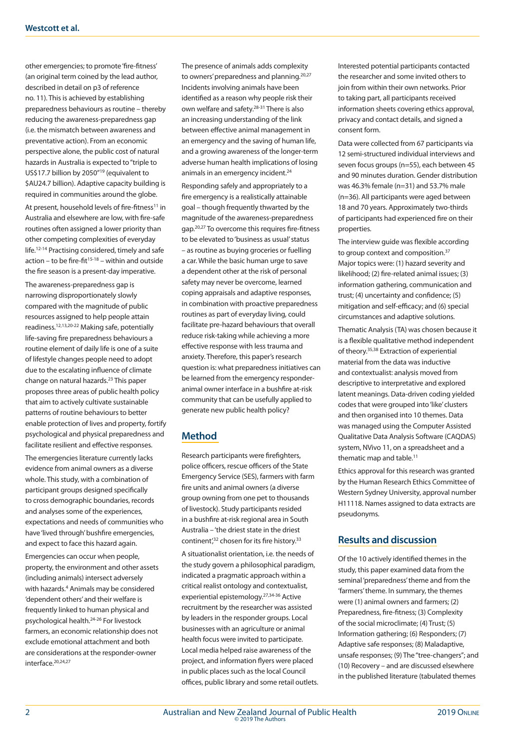other emergencies; to promote 'fire-fitness' (an original term coined by the lead author, described in detail on p3 of reference no. 11). This is achieved by establishing preparedness behaviours as routine – thereby reducing the awareness-preparedness gap (i.e. the mismatch between awareness and preventative action). From an economic perspective alone, the public cost of natural hazards in Australia is expected to "triple to US\$17.7 billion by 2050"19 (equivalent to \$AU24.7 billion). Adaptive capacity building is required in communities around the globe.

At present, household levels of fire-fitness $11$  in Australia and elsewhere are low, with fire-safe routines often assigned a lower priority than other competing complexities of everyday life.12-14 Practising considered, timely and safe action – to be fire-fit<sup>15-18</sup> – within and outside the fire season is a present-day imperative.

The awareness-preparedness gap is narrowing disproportionately slowly compared with the magnitude of public resources assigned to help people attain readiness.12,13,20-22 Making safe, potentially life-saving fire preparedness behaviours a routine element of daily life is one of a suite of lifestyle changes people need to adopt due to the escalating influence of climate change on natural hazards.23 This paper proposes three areas of public health policy that aim to actively cultivate sustainable patterns of routine behaviours to better enable protection of lives and property, fortify psychological and physical preparedness and facilitate resilient and effective responses.

The emergencies literature currently lacks evidence from animal owners as a diverse whole. This study, with a combination of participant groups designed specifically to cross demographic boundaries, records and analyses some of the experiences, expectations and needs of communities who have 'lived through' bushfire emergencies, and expect to face this hazard again. Emergencies can occur when people, property, the environment and other assets (including animals) intersect adversely with hazards.<sup>4</sup> Animals may be considered 'dependent others' and their welfare is frequently linked to human physical and psychological health.24-26 For livestock farmers, an economic relationship does not exclude emotional attachment and both are considerations at the responder-owner interface.20,24,27

The presence of animals adds complexity to owners' preparedness and planning.<sup>20,27</sup> Incidents involving animals have been identified as a reason why people risk their own welfare and safety.28-31 There is also an increasing understanding of the link between effective animal management in an emergency and the saving of human life, and a growing awareness of the longer-term adverse human health implications of losing animals in an emergency incident.24

Responding safely and appropriately to a fire emergency is a realistically attainable goal – though frequently thwarted by the magnitude of the awareness-preparedness gap.20,27 To overcome this requires fire-fitness to be elevated to 'business as usual' status – as routine as buying groceries or fuelling a car. While the basic human urge to save a dependent other at the risk of personal safety may never be overcome, learned coping appraisals and adaptive responses, in combination with proactive preparedness routines as part of everyday living, could facilitate pre-hazard behaviours that overall reduce risk-taking while achieving a more effective response with less trauma and anxiety. Therefore, this paper's research question is: what preparedness initiatives can be learned from the emergency responderanimal owner interface in a bushfire at-risk community that can be usefully applied to generate new public health policy?

# **Method**

Research participants were firefighters, police officers, rescue officers of the State Emergency Service (SES), farmers with farm fire units and animal owners (a diverse group owning from one pet to thousands of livestock). Study participants resided in a bushfire at-risk regional area in South Australia – 'the driest state in the driest continent',<sup>32</sup> chosen for its fire history.<sup>33</sup> A situationalist orientation, i.e. the needs of the study govern a philosophical paradigm, indicated a pragmatic approach within a critical realist ontology and contextualist, experiential epistemology.27,34-36 Active recruitment by the researcher was assisted by leaders in the responder groups. Local businesses with an agriculture or animal health focus were invited to participate. Local media helped raise awareness of the project, and information flyers were placed in public places such as the local Council offices, public library and some retail outlets. Interested potential participants contacted the researcher and some invited others to join from within their own networks. Prior to taking part, all participants received information sheets covering ethics approval, privacy and contact details, and signed a consent form.

Data were collected from 67 participants via 12 semi-structured individual interviews and seven focus groups (n=55), each between 45 and 90 minutes duration. Gender distribution was 46.3% female (n=31) and 53.7% male (n=36). All participants were aged between 18 and 70 years. Approximately two-thirds of participants had experienced fire on their properties.

The interview guide was flexible according to group context and composition.<sup>37</sup> Major topics were: (1) hazard severity and likelihood; (2) fire-related animal issues; (3) information gathering, communication and trust; (4) uncertainty and confidence; (5) mitigation and self-efficacy; and (6) special circumstances and adaptive solutions.

Thematic Analysis (TA) was chosen because it is a flexible qualitative method independent of theory.35,38 Extraction of experiential material from the data was inductive and contextualist: analysis moved from descriptive to interpretative and explored latent meanings. Data-driven coding yielded codes that were grouped into 'like' clusters and then organised into 10 themes. Data was managed using the Computer Assisted Qualitative Data Analysis Software (CAQDAS) system, NVivo 11, on a spreadsheet and a thematic map and table.<sup>11</sup>

Ethics approval for this research was granted by the Human Research Ethics Committee of Western Sydney University, approval number H11118. Names assigned to data extracts are pseudonyms.

## **Results and discussion**

Of the 10 actively identified themes in the study, this paper examined data from the seminal 'preparedness' theme and from the 'farmers' theme. In summary, the themes were (1) animal owners and farmers; (2) Preparedness, fire-fitness; (3) Complexity of the social microclimate; (4) Trust; (5) Information gathering; (6) Responders; (7) Adaptive safe responses; (8) Maladaptive, unsafe responses; (9) The "tree-changers"; and (10) Recovery – and are discussed elsewhere in the published literature (tabulated themes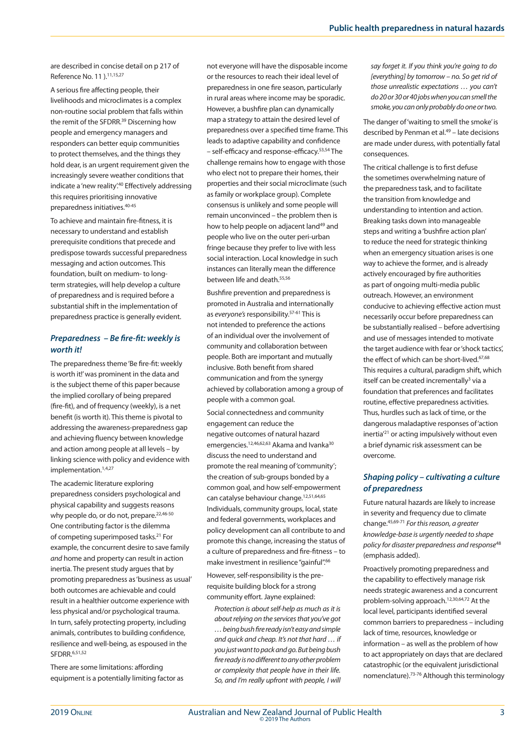are described in concise detail on p 217 of Reference No. 11 ).11,15,27

A serious fire affecting people, their livelihoods and microclimates is a complex non-routine social problem that falls within the remit of the SFDRR.<sup>39</sup> Discerning how people and emergency managers and responders can better equip communities to protect themselves, and the things they hold dear, is an urgent requirement given the increasingly severe weather conditions that indicate a 'new reality'.<sup>40</sup> Effectively addressing this requires prioritising innovative preparedness initiatives.40-45

To achieve and maintain fire-fitness, it is necessary to understand and establish prerequisite conditions that precede and predispose towards successful preparedness messaging and action outcomes. This foundation, built on medium- to longterm strategies, will help develop a culture of preparedness and is required before a substantial shift in the implementation of preparedness practice is generally evident.

#### *Preparedness – Be fire-fit: weekly is worth it!*

The preparedness theme 'Be fire-fit: weekly is worth it!' was prominent in the data and is the subject theme of this paper because the implied corollary of being prepared (fire-fit), and of frequency (weekly), is a net benefit (is worth it). This theme is pivotal to addressing the awareness-preparedness gap and achieving fluency between knowledge and action among people at all levels – by linking science with policy and evidence with implementation.<sup>1,4,27</sup>

The academic literature exploring preparedness considers psychological and physical capability and suggests reasons why people do, or do not, prepare.<sup>22,46-50</sup> One contributing factor is the dilemma of competing superimposed tasks.<sup>21</sup> For example, the concurrent desire to save family *and* home and property can result in action inertia. The present study argues that by promoting preparedness as 'business as usual' both outcomes are achievable and could result in a healthier outcome experience with less physical and/or psychological trauma. In turn, safely protecting property, including animals, contributes to building confidence, resilience and well-being, as espoused in the SFDRR.6,51,52

There are some limitations: affording equipment is a potentially limiting factor as not everyone will have the disposable income or the resources to reach their ideal level of preparedness in one fire season, particularly in rural areas where income may be sporadic. However, a bushfire plan can dynamically map a strategy to attain the desired level of preparedness over a specified time frame. This leads to adaptive capability and confidence – self-efficacy and response-efficacy.53,54 The challenge remains how to engage with those who elect not to prepare their homes, their properties and their social microclimate (such as family or workplace group). Complete consensus is unlikely and some people will remain unconvinced – the problem then is how to help people on adjacent land<sup>49</sup> and people who live on the outer peri-urban fringe because they prefer to live with less social interaction. Local knowledge in such instances can literally mean the difference between life and death.55,56

Bushfire prevention and preparedness is promoted in Australia and internationally as *everyone's* responsibility.57-61 This is not intended to preference the actions of an individual over the involvement of community and collaboration between people. Both are important and mutually inclusive. Both benefit from shared communication and from the synergy achieved by collaboration among a group of people with a common goal.

Social connectedness and community engagement can reduce the negative outcomes of natural hazard emergencies.<sup>12,46,62,63</sup> Akama and Ivanka<sup>30</sup> discuss the need to understand and promote the real meaning of 'community'; the creation of sub-groups bonded by a common goal, and how self-empowerment can catalyse behaviour change.<sup>12,51,64,65</sup> Individuals, community groups, local, state and federal governments, workplaces and policy development can all contribute to and promote this change, increasing the status of a culture of preparedness and fire-fitness – to make investment in resilience "gainful".66

However, self-responsibility is the prerequisite building block for a strong community effort. Jayne explained:

*Protection is about self-help as much as it is about relying on the services that you've got … being bush fire ready isn't easy and simple and quick and cheap. It's not that hard … if you just want to pack and go. But being bush fire ready is no different to any other problem or complexity that people have in their life. So, and I'm really upfront with people, I will*  *say forget it. If you think you're going to do [everything] by tomorrow – no. So get rid of those unrealistic expectations … you can't do 20 or 30 or 40 jobs when you can smell the smoke, you can only probably do one or two.* 

The danger of 'waiting to smell the smoke' is described by Penman et al.<sup>49</sup> – late decisions are made under duress, with potentially fatal consequences.

The critical challenge is to first defuse the sometimes overwhelming nature of the preparedness task, and to facilitate the transition from knowledge and understanding to intention and action. Breaking tasks down into manageable steps and writing a 'bushfire action plan' to reduce the need for strategic thinking when an emergency situation arises is one way to achieve the former, and is already actively encouraged by fire authorities as part of ongoing multi-media public outreach. However, an environment conducive to achieving effective action must necessarily occur before preparedness can be substantially realised – before advertising and use of messages intended to motivate the target audience with fear or 'shock tactics', the effect of which can be short-lived.<sup>67,68</sup> This requires a cultural, paradigm shift, which itself can be created incrementally<sup>3</sup> via a foundation that preferences and facilitates routine, effective preparedness activities. Thus, hurdles such as lack of time, or the dangerous maladaptive responses of 'action inertia'21 or acting impulsively without even a brief dynamic risk assessment can be overcome.

## *Shaping policy – cultivating a culture of preparedness*

Future natural hazards are likely to increase in severity and frequency due to climate change.45,69-71 *For this reason, a greater knowledge-base is urgently needed to shape policy for disaster preparedness and response*<sup>48</sup> (emphasis added).

Proactively promoting preparedness and the capability to effectively manage risk needs strategic awareness and a concurrent problem-solving approach.12,30,64,72 At the local level, participants identified several common barriers to preparedness – including lack of time, resources, knowledge or information – as well as the problem of how to act appropriately on days that are declared catastrophic (or the equivalent jurisdictional nomenclature).73-76 Although this terminology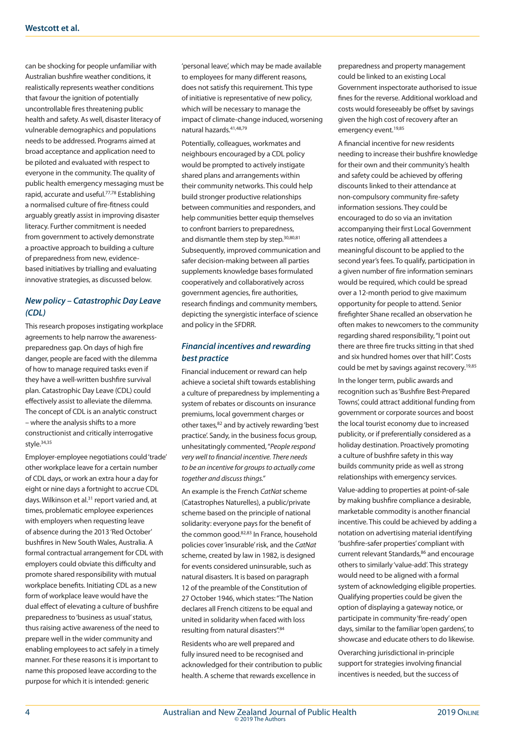can be shocking for people unfamiliar with Australian bushfire weather conditions, it realistically represents weather conditions that favour the ignition of potentially uncontrollable fires threatening public health and safety. As well, disaster literacy of vulnerable demographics and populations needs to be addressed. Programs aimed at broad acceptance and application need to be piloted and evaluated with respect to everyone in the community. The quality of public health emergency messaging must be rapid, accurate and useful.77,78 Establishing a normalised culture of fire-fitness could arguably greatly assist in improving disaster literacy. Further commitment is needed from government to actively demonstrate a proactive approach to building a culture of preparedness from new, evidencebased initiatives by trialling and evaluating innovative strategies, as discussed below.

## *New policy – Catastrophic Day Leave (CDL)*

This research proposes instigating workplace agreements to help narrow the awarenesspreparedness gap. On days of high fire danger, people are faced with the dilemma of how to manage required tasks even if they have a well-written bushfire survival plan. Catastrophic Day Leave (CDL) could effectively assist to alleviate the dilemma. The concept of CDL is an analytic construct – where the analysis shifts to a more constructionist and critically interrogative style.34,35

Employer-employee negotiations could 'trade' other workplace leave for a certain number of CDL days, or work an extra hour a day for eight or nine days a fortnight to accrue CDL days. Wilkinson et al.<sup>31</sup> report varied and, at times, problematic employee experiences with employers when requesting leave of absence during the 2013 'Red October' bushfires in New South Wales, Australia. A formal contractual arrangement for CDL with employers could obviate this difficulty and promote shared responsibility with mutual workplace benefits. Initiating CDL as a new form of workplace leave would have the dual effect of elevating a culture of bushfire preparedness to 'business as usual' status, thus raising active awareness of the need to prepare well in the wider community and enabling employees to act safely in a timely manner. For these reasons it is important to name this proposed leave according to the purpose for which it is intended: generic

'personal leave', which may be made available to employees for many different reasons, does not satisfy this requirement. This type of initiative is representative of new policy, which will be necessary to manage the impact of climate-change induced, worsening natural hazards.41,48,79

Potentially, colleagues, workmates and neighbours encouraged by a CDL policy would be prompted to actively instigate shared plans and arrangements within their community networks. This could help build stronger productive relationships between communities and responders, and help communities better equip themselves to confront barriers to preparedness, and dismantle them step by step.<sup>30,80,81</sup> Subsequently, improved communication and safer decision-making between all parties supplements knowledge bases formulated cooperatively and collaboratively across government agencies, fire authorities, research findings and community members, depicting the synergistic interface of science and policy in the SFDRR.

## *Financial incentives and rewarding best practice*

Financial inducement or reward can help achieve a societal shift towards establishing a culture of preparedness by implementing a system of rebates or discounts on insurance premiums, local government charges or other taxes,82 and by actively rewarding 'best practice'. Sandy, in the business focus group, unhesitatingly commented, "*People respond very well to financial incentive. There needs to be an incentive for groups to actually come together and discuss things."*

An example is the French *CatNat* scheme (Catastrophes Naturelles), a public/private scheme based on the principle of national solidarity: everyone pays for the benefit of the common good.<sup>82,83</sup> In France, household policies cover 'insurable' risk, and the *CatNat* scheme, created by law in 1982, is designed for events considered uninsurable, such as natural disasters. It is based on paragraph 12 of the preamble of the Constitution of 27 October 1946, which states: "The Nation declares all French citizens to be equal and united in solidarity when faced with loss resulting from natural disasters".84

Residents who are well prepared and fully insured need to be recognised and acknowledged for their contribution to public health. A scheme that rewards excellence in

preparedness and property management could be linked to an existing Local Government inspectorate authorised to issue fines for the reverse. Additional workload and costs would foreseeably be offset by savings given the high cost of recovery after an emergency event.19,85

A financial incentive for new residents needing to increase their bushfire knowledge for their own and their community's health and safety could be achieved by offering discounts linked to their attendance at non-compulsory community fire-safety information sessions. They could be encouraged to do so via an invitation accompanying their first Local Government rates notice, offering all attendees a meaningful discount to be applied to the second year's fees. To qualify, participation in a given number of fire information seminars would be required, which could be spread over a 12-month period to give maximum opportunity for people to attend. Senior firefighter Shane recalled an observation he often makes to newcomers to the community regarding shared responsibility, "I point out there are three fire trucks sitting in that shed and six hundred homes over that hill". Costs could be met by savings against recovery.19,85

In the longer term, public awards and recognition such as 'Bushfire Best-Prepared Towns', could attract additional funding from government or corporate sources and boost the local tourist economy due to increased publicity, or if preferentially considered as a holiday destination. Proactively promoting a culture of bushfire safety in this way builds community pride as well as strong relationships with emergency services.

Value-adding to properties at point-of-sale by making bushfire compliance a desirable, marketable commodity is another financial incentive. This could be achieved by adding a notation on advertising material identifying 'bushfire-safer properties' compliant with current relevant Standards,<sup>86</sup> and encourage others to similarly 'value-add'. This strategy would need to be aligned with a formal system of acknowledging eligible properties. Qualifying properties could be given the option of displaying a gateway notice, or participate in community 'fire-ready' open days, similar to the familiar 'open gardens', to showcase and educate others to do likewise.

Overarching jurisdictional in-principle support for strategies involving financial incentives is needed, but the success of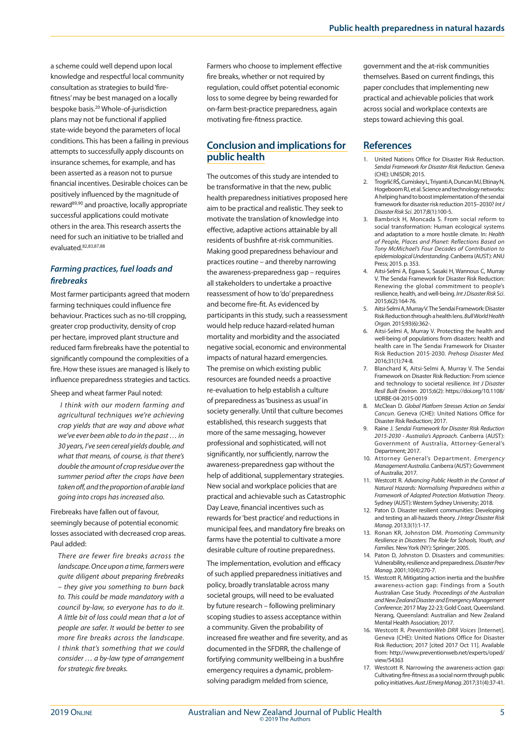a scheme could well depend upon local knowledge and respectful local community consultation as strategies to build 'firefitness' may be best managed on a locally bespoke basis.20 Whole-of-jurisdiction plans may not be functional if applied state-wide beyond the parameters of local conditions. This has been a failing in previous attempts to successfully apply discounts on insurance schemes, for example, and has been asserted as a reason not to pursue financial incentives. Desirable choices can be positively influenced by the magnitude of reward<sup>89,90</sup> and proactive, locally appropriate successful applications could motivate others in the area. This research asserts the need for such an initiative to be trialled and evaluated.82,83,87,88

#### *Farming practices, fuel loads and firebreaks*

Most farmer participants agreed that modern farming techniques could influence fire behaviour. Practices such as no-till cropping, greater crop productivity, density of crop per hectare, improved plant structure and reduced farm firebreaks have the potential to significantly compound the complexities of a fire. How these issues are managed is likely to influence preparedness strategies and tactics.

Sheep and wheat farmer Paul noted:

 *I think with our modern farming and agricultural techniques we're achieving crop yields that are way and above what we've ever been able to do in the past … in 30 years, I've seen cereal yields double, and what that means, of course, is that there's double the amount of crop residue over the summer period after the crops have been taken off, and the proportion of arable land going into crops has increased also.* 

Firebreaks have fallen out of favour, seemingly because of potential economic losses associated with decreased crop areas. Paul added:

*There are fewer fire breaks across the landscape. Once upon a time, farmers were quite diligent about preparing firebreaks – they give you something to burn back to. This could be made mandatory with a council by-law, so everyone has to do it. A little bit of loss could mean that a lot of people are safer. It would be better to see more fire breaks across the landscape. I think that's something that we could consider … a by-law type of arrangement for strategic fire breaks.*

Farmers who choose to implement effective fire breaks, whether or not required by regulation, could offset potential economic loss to some degree by being rewarded for on-farm best-practice preparedness, again motivating fire-fitness practice.

# **Conclusion and implications for public health**

The outcomes of this study are intended to be transformative in that the new, public health preparedness initiatives proposed here aim to be practical and realistic. They seek to motivate the translation of knowledge into effective, adaptive actions attainable by all residents of bushfire at-risk communities. Making good preparedness behaviour and practices routine – and thereby narrowing the awareness-preparedness gap – requires all stakeholders to undertake a proactive reassessment of how to 'do' preparedness and become fire-fit. As evidenced by participants in this study, such a reassessment would help reduce hazard-related human mortality and morbidity and the associated negative social, economic and environmental impacts of natural hazard emergencies. The premise on which existing public resources are founded needs a proactive re-evaluation to help establish a culture of preparedness as 'business as usual' in society generally. Until that culture becomes established, this research suggests that more of the same messaging, however professional and sophisticated, will not significantly, nor sufficiently, narrow the awareness-preparedness gap without the help of additional, supplementary strategies. New social and workplace policies that are practical and achievable such as Catastrophic Day Leave, financial incentives such as rewards for 'best practice' and reductions in municipal fees, and mandatory fire breaks on farms have the potential to cultivate a more desirable culture of routine preparedness. The implementation, evolution and efficacy of such applied preparedness initiatives and policy, broadly translatable across many societal groups, will need to be evaluated by future research – following preliminary scoping studies to assess acceptance within a community. Given the probability of increased fire weather and fire severity, and as documented in the SFDRR, the challenge of fortifying community wellbeing in a bushfire emergency requires a dynamic, problemsolving paradigm melded from science,

government and the at-risk communities themselves. Based on current findings, this paper concludes that implementing new practical and achievable policies that work across social and workplace contexts are steps toward achieving this goal.

# **References**

- 1. United Nations Office for Disaster Risk Reduction. *Sendai Framework for Disaster Risk Reduction*. Geneva (CHE): UNISDR; 2015.
- 2. Trogrlić RŠ, Cumiskey L, Triyanti A, Duncan MJ, Eltinay N, Hogeboom RJ, et al. Science and technology networks: A helping hand to boost implementation of the sendai framework for disaster risk reduction 2015–2030? *Int J Disaster Risk Sci*. 2017;8(1):100-5.
- 3. Bambrick H, Moncada S. From social reform to social transformation: Human ecological systems and adaptation to a more hostile climate. In: *Health of People, Places and Planet: Reflections Based on Tony McMichael's Four Decades of Contribution to epidemiological Understanding*. Canberra (AUST): ANU Press; 2015. p. 353.
- 4. Aitsi-Selmi A, Egawa S, Sasaki H, Wannous C, Murray V. The Sendai Framework for Disaster Risk Reduction: Renewing the global commitment to people's resilience, health, and well-being. *Int J Disaster Risk Sci*. 2015;6(2):164-76.
- 5. Aitsi-Selmi A, Murray V. The Sendai Framework: Disaster Risk Reduction through a health lens. *Bull World Health Organ*. 2015;93(6):362-.
- 6. Aitsi-Selmi A, Murray V. Protecting the health and well-being of populations from disasters: health and health care in The Sendai Framework for Disaster Risk Reduction 2015-2030. *Prehosp Disaster Med.* 2016;31(1):74-8.
- 7. Blanchard K, Aitsi-Selmi A, Murray V. The Sendai Framework on Disaster Risk Reduction: From science and technology to societal resilience. *Int J Disaster Resil Built Environ*. 2015;6(2): https://doi.org/10.1108/ IJDRBE-04-2015-0019
- 8. McClean D. *Global Platform Stresses Action on Sendai Cancun*. Geneva (CHE): United Nations Office for Disaster Risk Reduction; 2017.
- 9. Raine J. *Sendai Framework for Disaster Risk Reduction 2015-2030 - Australia's Approach.* Canberra (AUST): Government of Australia, Attorney-General's Department; 2017.
- 10. Attorney General's Department. *Emergency Management Australia.* Canberra (AUST): Government of Australia; 2017.
- 11. Westcott R. *Advancing Public Health in the Context of Natural Hazards: Normalising Preparedness within a Framework of Adapted Protection Motivation Theory*. Sydney (AUST): Western Sydney University; 2018.
- 12. Paton D. Disaster resilient communities: Developing and testing an all-hazards theory. *J Integr Disaster Risk Manag*. 2013;3(1):1-17.
- 13. Ronan KR, Johnston DM. *Promoting Community Resilience in Disasters: The Role for Schools, Youth, and Families.* New York (NY): Springer; 2005.
- 14. Paton D, Johnston D. Disasters and communities: Vulnerability, resilience and preparedness. *Disaster Prev Manag*. 2001;10(4):270-7.
- 15. Westcott R, Mitigating action inertia and the bushfire awareness-action gap: Findings from a South Australian Case Study. *Proceedings of the Australian and New Zealand Disaster and Emergency Management Conference*; 2017 May 22-23; Gold Coast, Queensland. Nerang, Queensland: Australian and New Zealand Mental Health Association; 2017.
- 16. Westcott R. *PreventionWeb DRR Voices* [Internet]. Geneva (CHE): United Nations Office for Disaster Risk Reduction; 2017 [cited 2017 Oct 11]. Available from: http://www.preventionweb.net/experts/oped/ view/54363
- 17. Westcott R. Narrowing the awareness-action gap: Cultivating fire-fitness as a social norm through public policy initiatives. *Aust J Emerg Manag*. 2017;31(4):37-41.